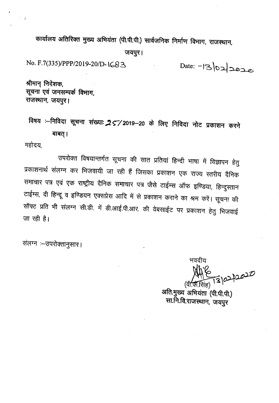कार्यालय अतिरिक्त मुख्य अभियंता (पी.पी.पी.) सार्वजनिक निर्माण विभाग, राजस्थान,

जयपुर।

No. *F.7(335)IPPP/2019-201D- \<;83*

Date: -13/02/2020

श्रीमान् निदेशक, सूचना एवं जनसम्पर्क विभाग, राजस्थान, जयपुर।

विषय :--निविदा सूचना संख्या: 257/2019-20 के लिए निविदा नोट प्रकाशन करने बाबत् ।

महोदय.

 $\sim$  3

उपरोक्त विषयान्तर्गत सूचना की सात प्रतियां हिन्दी भाषा में विज्ञापन हेतु प्रकाशनार्थ संलग्न कर भिजवायी जा रही हैं जिसका प्रकाशन एक राज्य स्तरीय दैनिक समाचार पत्र एवं एक राष्ट्रीय दैनिक समाचार पत्र जैसे टाईम्स ऑफ इण्डिया, हिन्दुस्तान टाईम्स, दी हिन्दू व इण्डियन एक्सप्रेस आदि में से प्रकाशन कराने का श्रम करें। सूचना की सॉफ्ट प्रति भी संलग्न सी.डी. में डी.आई.पी.आर. की वेबसाईट पर प्रकाशन हेतु भिजवाई  $\overline{u}$  रही है।

संलग्न :- उपरोक्तानुसार।

भवदीय  $\mathcal{L}$ 

अति.मुख्य अभियंता (पी.पी.पी.) सा.नि.वि.राजस्थान, जयपुर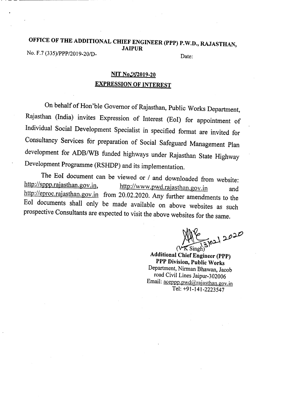# OFFICE OF THE ADDITIONAL CHIEF ENGINEER (PPP) P.W.D., RAJASTHAN, JAIPUR No. F.7 (335)/PPP/2019-20/D-<br>Date:

.. \_--------

# NIT No.292019-20 EXPRESSION OF INTEREST

On behalf of Hon'ble Governor of Rajasthan, Public Works Department, Rajasthan (India) invites Expression of Interest (EoI) for appointment of Individual Social Development Specialist in specified format are invited for Consultancy Services for preparation of Social Safeguard Management Plan development for *ADB/WB* funded highways under Rajasthan State Highway Development Programme (RSHDP) and its implementation.

The EoI document can be viewed or *I* and downloaded from website:<br>http://sppp.rajasthan.gov.in, http://www.pwd.rajasthan.gov.jp http://www.pwd.rajasthan.gov.in and http://eproc.rajasthan.gov.in from 20.02.2020. Any further amendments to the EoI documents shall only be made available on above websites as such prospective Consultants are expected to visit the above websites for the same.

 $447$   $\times$   $2020$ 

Additional Chief Engineer (PPP) PPP Division, Public Works Department, Nirman Bhawan, Jacob road Civil Lines Jaipur-302006 Email: aceppp.pwd@rajasthan.gov.in Tel: +91-141-2223547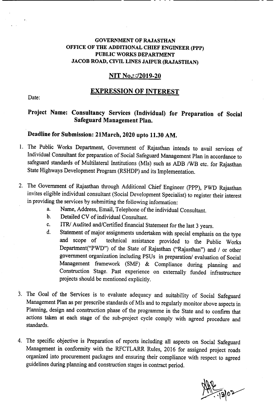### GOVERNMENT OF RAJASTHAN OFFICE OF THE ADDITIONAL CHIEF ENGINEER (PPP) PUBLIC WORKS DEPARTMENT JACOB ROAD, CIVIL LINES JAIPUR (RAJASTHAN)

## NIT No. 2019-20

### EXPRESSION OF INTEREST

Date:

# Project Name: Consultancy Services (Individual) for Preparation of Social Safeguard Management Plan.

## Deadline for Submission: 21March, 2020 upto 11.30 AM.

----------------- ---- - - - - ------------

- 1. The Public Works Department, Government of Rajasthan intends to avail services of Individual Consultant for preparation of Social Safeguard Management Plan in accordance to safeguard standards of Multilateral Institutions (MIs) such as ADB /WB etc. for Rajasthan State Highways Development Program (RSHDP) and its Implementation.
- 2. The Government of Rajasthan through Additional Chief Engineer (PPP). PWD Rajasthan invites eligible individual consultant (Social Development Specialist) to register their interest in providing the services by submitting the following information:
	- a. Name, Address, Email, Telephone of the individual Consultant.
	- b. Detailed CV of individual Consultant.
	- c. *ITRI* Audited and/Certified financial Statement for the Jast 3 years.
	- d. Statement of major assignments undertaken with special emphasis on the type<br>and scope of technical assistance provided to the Public Works technical assistance provided to the Public Works Department("PWD") of the State of Rajasthan ("Rajasthan") and / or other government organization including PSUs in preparation/ evaluation of Social Management framework (SMF) & Compliance during planning and Construction Stage. Past experience on externally funded infrastructure projects should be mentioned explicitly.
- 3. The Goal of the Services is to evaluate adequacy and suitability of Social Safeguard Management Plan as per prescribe standards of MIs and to regularly monitor above aspects in Planning, design and construction phase of the programme in the State and to confirm that actions taken at each stage of the sub-project cycle comply with agreed procedure and standards.
- 4. The specific objective is Preparation of reports including all aspects on Social Safeguard Management in conformity with the RFCTLARR Rules, 2016 for assigned project roads organized into procurement packages and ensuring their compliance with respect to agreed guidelines during planning and construction stages in contract period.

 $\frac{2}{1202}$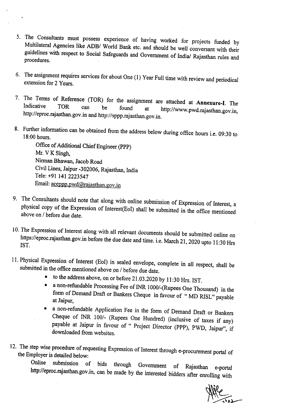- 5. The Consultants must possess experience of having worked for projects funded by Multilateral Agencies like *ADBI* World Bank etc. and should be well conversant with their guidelines with respect to Social Safeguards and Government of India/ Rajasthan rules and procedures.
- 6. The assignment requires services for about One  $(1)$  Year Full time with review and periodical extension for 2 Years.
- 7. The Terms of Reference (TOR) for the assignment are attached at Annexure-I. The Indicative TOR can be found at  $\frac{1}{100}$  if the found of the found of the found of the found of the found of the found of the found of th can be found at http://www.pwd.rajasthan.gov.in. http://eproc.rajasthan.gov.in and http://sppp.rajasthan.gov.in.
- 8. Further information can be obtained from the address below during office hours i.e. 09:30 to 18:00 hours.

Office of Additional Chief Engineer (PPP) Mr. V K Singh, Nirman Bhawan, Jacob Road Civil Lines,Jaipur -302006, Rajasthan, India Tele: +91 141 2223547 Email: aceppp.pwd@rajasthan.gov.in

- 9. The Consultants should note that along with online submission of Expression of Interest, a physical copy of the Expression of Interest(Eol) shall be submitted in the office mentioned above on *I* before due date.
- 10. The Expression of Interest along with all relevant documents should be submitted online on https://eproc.rajasthan.gov.in before the due date and time. i.e. March 21, 2020 upto 11:30 Hrs 1ST.
- 11. Physical Expression of Interest (Eol) in sealed envelope, complete in all respect, shall be submitted in the office mentioned above on *I* before due date.
	- to the address above, on or before 21.03.2020 by 11:30 Hrs. 1ST.
	- a non-refundable Processing Fee of INR *10001-(Rupees* One Thousand) in the form of Demand Draft or Bankers Cheque in favour of "MD RISL" payable at Jaipur,
	- a non-refundable Application Fee in the form of Demand Draft or Bankers Cheque of INR 100/- (Rupees One Hundred) (inclusive of taxes if any) payable at Jaipur in favour of " Project Director (PPP), PWD, Jaipur", if downloaded from websites.
- 12. The step wise procedure of requesting Expression of Interest through e-procurement portal of the Employer is detailed below:

Online submission of bids through Government of Rajasthan e-portal http://eproc.rajasthan.gov.in, can be made by the interested bidders after enrolling with

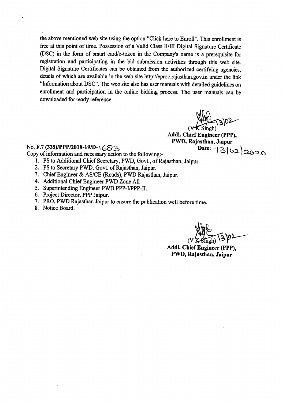the above mentioned web site using the option "Click here to Enroll". This enrollment is free at this point of time. Possession of a Valid Class IIIIlI Digital Signature Certificate (DSC) in the form of smart card/e-token in the Company's name is a prerequisite for registration and participating in the bid submission activities through this web site. Digital Signature Certificates can be obtained from the authorized certifying agencies, details of which are available in the web site http://eproc.rajasthan.gov.in under the link "Information about DSC". The web site also has user manuals with detailed guidelines on enrollment and participation in the online bidding process. The user manuals can be downloaded for ready reference.

 $(9)02$  $\overline{\mathsf{v}}$  $\mathbf K$  Singh)

Addl. Chief Engineer (PPP), PWD, Rajasthan, Jaipur  $Date: -130220$ 

## No. F.7 (335)/PPP/2018-19/D- $\left[ \bigoplus \bigoplus$

Copy of information and necessary action to the following:-

- 1. PS to Additional Chief Secretary, PWD, Govt., of Rajasthan, Jaipur.
- 2. PS to Secretary PWD, Govt. of Rajasthan, Jaipur.
- 3. Chief Engineer & AS/CE (Roads), PWD Rajasthan, Jaipur.
- 4. Additional Chief Engineer PWD Zone All
- 5. Superintending Engineer PWD PPP-I/PPP-II.
- 6. Project Director, PPP Jaipur.
- 7. PRO, PWD Rajasthan Jaipur to ensure the publication well before time.
- 8. Notice Board.

÷.

 $(VK\text{-Sineh})$  $80-$ 

Addl. Chief Engineer (PPP), PWD, Rajasthan, Jaipur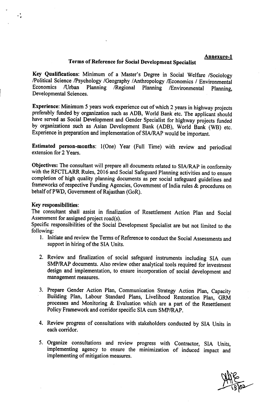#### Annexure-l

#### Terms of Reference for Social Development Specialist

Key Qualifications: Minimum of a Master's Degree in Social Welfare /Sociology !Political Science !Psychology IGeography *I*Anthropology !Economics *I* Environmental Planning /Regional Planning /Environmental Planning, Developmental Sciences.

Experience: Minimum 5 years work experience out of which 2 years in highway projects preferably funded by organization such as ADB, World Bank etc. The applicant should have served as Social Development and Gender Specialist for highway projects funded by organizations such as Asian Development Bank (ADB), World Bank (WB) etc. Experience in preparation and implementation of SIA/RAP would be important.

Estimated person-months: I(One) Year (Full Time) with review and periodical extension for 2 Years.

Objectives: The consultant will prepare all documentsrelated to *SIA/RAP* in conformity with the RFCTLARR Rules, 2016 and Social Safeguard Planning activities and to ensure completion of high quality planning documents as per social safeguard guidelines and frameworks of respective Funding Agencies, Government of India rules & procedures on behalf of PWD, Government of Rajasthan (GoR).

#### Key responsibilities:

 $\cdot$  .

The consultant shall assist in finalization of Resettlement Action Plan and Social Assessment for assigned project road(s).

Specific responsibilities of the Social Development Specialist are but not limited to the following:

- I. Initiate and review the Terms of Reference to conduct the Social Assessments and support in hiring of the SIA Units.
- 2. Review and finalization of social safeguard instruments including SIA cum SMP/RAP documents. Also review other analytical tools required for investment design and implementation, to ensure incorporation of social development and management measures.
- 3. Prepare Gender Action Plan, Communication Strategy Action Plan, Capacity Building Plan, Labour Standard Plans, Livelihood Restoration Plan, GRM processes and Monitoring & Evaluation which are a part of the Resettlement Policy Framework and corridor specific SIA cum *SMP/RAP*.
- 4. Review progress of consultations with stakeholders conducted by SIA Units in each corridor.
- 5. Organize consultations and review progress with Contractor, SIA Units, implementing agency to ensure the minimization of induced impact and implementing of mitigation measures.